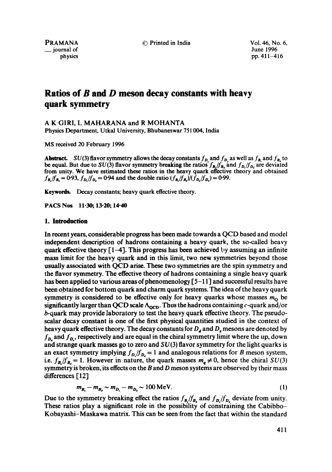~(\_3 Printed in India Vol. 46, No. 6,

PRAMANA **\_\_** journal of physics June 1996 pp. 411-416

# **Ratios of B and D meson decay constants with heavy quark symmetry**

A K GIRl, L MAHARANA and R MOHANTA

Physics Department, Utkal University, Bhubaneswar 751004, India

MS received 20 February 1996

**Abstract.** SU(3) flavor symmetry allows the decay constants  $f_D$  and  $f_D$  as well as  $f_B$  and  $f_B$  to be equal. But due to SU(3) flavor symmetry breaking the *ratios'fa./fa,* and *fa./fa,* are deviated from unity. We have estimated these ratios in the heavy quark effective theory and obtained  $f_{B_n}/f_{B_n} = 0.93$ ,  $f_{D_n}/f_{D_n} = 0.94$  and the double ratio  $(f_{B_n}/f_{B_n})/(f_{D_n}/f_{D_n}) = 0.99$ .

Keywords. Decay constants; heavy quark effective theory.

PACS Nos 11.30; 13-20; 14-40

## **1. Introduction**

In recent years, considerable progress has been made towards a QCD based and model independent description of hadrons containing a heavy quark, the so-called heavy quark effective theory  $\lceil 1-4 \rceil$ . This progress has been achieved by assuming an infinite mass limit for the heavy quark and in this limit, two new symmetries beyond those usually associated with QCD arise. These two symmetries are the spin symmetry and the flavor symmetry. The effective theory of hadrons containing a single heavy quark has been applied to various areas of phenomenology [5-11] and successful results have been obtained for bottom quark and charm quark systems. The idea of the heavy quark symmetry is considered to be effective only for heavy quarks whose masses  $m<sub>0</sub>$  be significantly larger than QCD scale  $\Lambda_{\rm OCD}$ . Thus the hadrons containing c-quark and/or b-quark may provide laboratory to test the heavy quark effective theory. The pseudoscalar decay constant is one of the first physical quantities studied in the context of heavy quark effective theory. The decay constants for  $D_d$  and  $D_s$  mesons are denoted by  $f_{\mathbf{p}_i}$  and  $f_{\mathbf{p}_i}$ , respectively and are equal in the chiral symmetry limit where the up, down and strange quark masses go to zero and  $SU(3)$  flavor symmetry for the light quarks is an exact symmetry implying  $f_{D_i}/f_{D_i} = 1$  and analogous relations for B meson system, i.e.  $f_B/f_B = 1$ . However in nature, the quark masses  $m_a \neq 0$ , hence the chiral  $SU(3)$ symmetry is broken, its effects on the  $B$  and  $D$  meson systems are observed by their mass differences [12]

$$
m_{B} - m_{B} \sim m_{D} - m_{D} \sim 100 \text{ MeV}.
$$
 (1)

Due to the symmetry breaking effect the ratios  $f_B/f_{B}$  and  $f_D/f_{D}$  deviate from unity. These ratios play a significant role in the possibility of constraining the Cabibbo-Kobayashi-Maskawa matrix. This can be seen from the fact that within the standard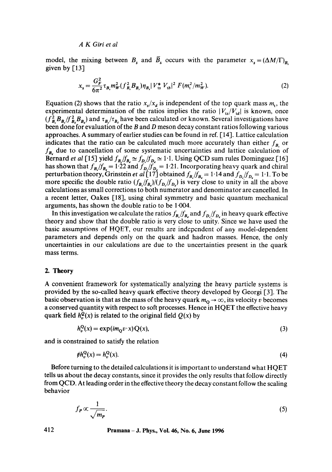*A K Girl et al* 

model, the mixing between  $B_s$  and  $B_s$  occurs with the parameter  $x_s = (\Delta M/\Gamma)_{B_s}$ given by  $[13]$ 

$$
x_s = \frac{G_F^2}{6\pi^2} \tau_{B_s} m_W^2 (f_{B_s}^2 B_{B_s}) \eta_{B_s} |V_{ts}^* V_{tb}|^2 F(m_t^2 / m_W^2). \tag{2}
$$

Equation (2) shows that the ratio  $x_s/x_d$  is independent of the top quark mass  $m_t$ , the experimental determination of the ratios implies the ratio  $|V_{1s}/V_{1d}|$  is known, once  $(f_{B}^{2}B_{B}/f_{B}^{2}B_{B})$  and  $\tau_{B}/\tau_{B}$  have been calculated or known. Several investigations have been done for evaluation of the B and D meson decay constant ratios following various approaches. A summary of earlier studies can be found in ref. [14]. Lattice calculation indicates that the ratio can be calculated much more accurately than either  $f_{B}$  or *fB,* due to cancellation of some systematic uncertainties and lattice calculation of Bernard *et al* [15] yield  $f_B/f_B \simeq f_D/f_D \simeq 1.1$ . Using QCD sum rules Dominguez [16] has shown that  $f_B/f_B = 1.22$  and  $f_D/f_D = 1.21$ . Incorporating heavy quark and chiral perturbation theory, Grinstein *et al* [17] obtained  $f_B/f_{B_i} = 1.14$  and  $f_B/f_{D_i} = 1.1$ . To be more specific the double ratio  $(f_{B_i}/f_{B_i})/(f_{D_i}/f_{D_i})$  is very close to unity in all the above calculations as small corrections to both numerator and denominator are cancelled. In a recent letter, Oakes [18], using chiral symmetry and basic quantum mechanical arguments, has shown the double ratio to be 1-004.

In this investigation we calculate the ratios  $f_{B_n}/f_{B_n}$  and  $f_{D_n}/f_{D_n}$  in heavy quark effective theory and show that the double ratio is very close to unity. Since we have used the basic assumptions of HQET, our results are indcpcndent of any model-dependent parameters and depends only on the quark and hadron masses. Hence, the only uncertainties in our calculations are due to the uncertainties present in the quark mass terms.

## **2. Theory**

A convenient framework for systematically analyzing the heavy particle systems is provided by the so-called heavy quark effective theory developed by Georgi [3]. The basic observation is that as the mass of the heavy quark  $m_0 \to \infty$ , its velocity v becomes a conserved quantity with respect to soft processes. Hence in HQET the effective heavy quark field  $h_r^Q(x)$  is related to the original field  $Q(x)$  by

$$
h_v^{\mathbf{Q}}(\mathbf{x}) = \exp(im_0 v \cdot \mathbf{x}) \mathbf{Q}(\mathbf{x}),\tag{3}
$$

and is constrained to satisfy the relation

$$
th_v^Q(x) = h_v^Q(x). \tag{4}
$$

Before turning to the detailed calculations it is important to understand what HQET tells us about the decay constants, since it provides the only results that follow directly from QCD. At leading order in the effective theory the decay constant follow the scaling behavior

$$
f_P \propto \frac{1}{\sqrt{m_P}}.\tag{5}
$$

**412 Pramana - J. Phys., Vol. 46, No. 6, June 1996**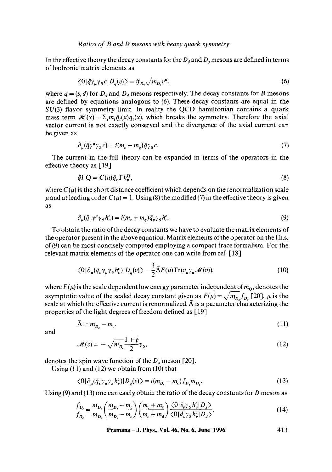## *Ratios of B and D mesons with heavy quark symmetry*

In the effective theory the decay constants for the  $D_d$  and  $D_s$  mesons are defined in terms of hadronic matrix elements as

$$
\langle 0|\bar{q}\gamma_{\mu}\gamma_{5}c|D_{q}(v)\rangle = if_{D_{q}}\sqrt{m_{D_{q}}v^{\mu}},\tag{6}
$$

where  $q = (s, d)$  for  $D_s$  and  $D_d$  mesons respectively. The decay constants for B mesons are defined by equations analogous to (6). These decay constants are equal in the  $SU(3)$  flavor symmetry limit. In reality the QCD hamiltonian contains a quark mass term  $\mathcal{H}(x) = \sum_i m_i \bar{q}_i(x)q_i(x)$ , which breaks the symmetry. Therefore the axial vector current is not exactly conserved and the divergence of the axial current can be given as

$$
\partial_{\mu}(\bar{q}\gamma^{\mu}\gamma_{5}c) = i(m_{c} + m_{q})\bar{q}\gamma_{5}c. \tag{7}
$$

The current in the full theory can be expanded in terms of the operators in the effective theory as  $\lceil 19 \rceil$ 

$$
\bar{q}\Gamma Q = C(\mu)\bar{q}_v\Gamma h_v^Q,\tag{8}
$$

where  $C(\mu)$  is the short distance coefficient which depends on the renormalization scale  $\mu$  and at leading order  $C(\mu) = 1$ . Using (8) the modified (7) in the effective theory is given as

$$
\partial_{\mu}(\bar{q}_{v}\gamma^{\mu}\gamma_{5}h_{v}^{c}) = i(m_{c} + m_{q})\bar{q}_{v}\gamma_{5}h_{v}^{c}.
$$
\n(9)

To obtain the ratio of the decay constants we have to evaluate the matrix elements of the operator present in the above equation. Matrix elements of the operator on the 1.h.s. of(9) can be most concisely computed employing a compact trace formalism. For the relevant matrix elements of the operator one can write from ref. [18]

$$
\langle 0|\partial_{\mu}(\bar{q}_{\nu}\gamma_{\mu}\gamma_{5}h_{\nu}^{c})|D_{q}(v)\rangle = \frac{i}{2}\bar{\Lambda}F(\mu)\mathrm{Tr}(v_{\mu}\gamma_{\mu}\mathcal{M}(v)),\tag{10}
$$

where  $F(\mu)$  is the scale dependent low energy parameter independent of  $m_0$ , denotes the asymptotic value of the scaled decay constant given as  $F(\mu) = \sqrt{m_{D_s} f_{D_s}}$  [20],  $\mu$  is the scale at which the effective current is renormalized.  $\overline{\Lambda}$  is a parameter characterizing the properties of the light degrees of freedom defined as [19]

$$
\bar{\Lambda} = m_{D_q} - m_c, \tag{11}
$$

and

$$
\mathcal{M}(v) = -\sqrt{m_{D_q}} \frac{1+\rlap/v}{2} \gamma_5,\tag{12}
$$

denotes the spin wave function of the  $D_q$  meson [20].

Using (11) and (12) we obtain from (10) that

$$
\langle 0|\partial_{\mu}(\bar{q}_{\nu}\gamma_{\mu}\gamma_{5}h_{\nu}^{c})|D_{q}(v)\rangle = i(m_{D_{q}}-m_{c})f_{D_{q}}m_{D_{q}}.
$$
\n(13)

Using  $(9)$  and  $(13)$  one can easily obtain the ratio of the decay constants for D meson as

$$
\frac{f_{D_s}}{f_{D_s}} = \frac{m_{D_s}}{m_{D_s}} \left( \frac{m_{D_s} - m_c}{m_{D_s} - m_c} \right) \left( \frac{m_c + m_s}{m_c + m_d} \right) \frac{\langle 0 | \bar{s}_v \gamma_5 h_v^c | D_s \rangle}{\langle 0 | \bar{d}_v \gamma_5 h_v^c | D_d \rangle}.
$$
\n(14)

**Pramana** – **J. Phys., Vol. 46, No. 6, June 1996** 413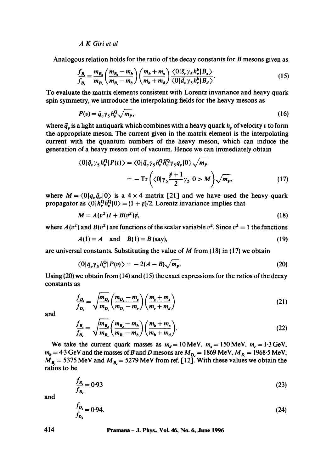# *A K Girl et al*

Analogous relation holds for the ratio of the decay constants for B mesons given as

$$
\frac{f_{B_i}}{f_{B_i}} = \frac{m_{B_i}}{m_{B_i}} \left( \frac{m_{B_i} - m_b}{m_{B_i} - m_b} \right) \left( \frac{m_b + m_s}{m_b + m_d} \right) \frac{\langle 0 | \bar{s}_c \gamma_5 h_c^b | B_s \rangle}{\langle 0 | \bar{d}_v \gamma_5 h_c^b | B_d \rangle}.
$$
\n(15)

To evaluate the matrix dements consistent with Lorentz invariance and heavy quark spin symmetry, we introduce the interpolating fields for the heavy mesons as

$$
P(v) = \bar{q}_v \gamma_5 h_v^Q \sqrt{m_p},\tag{16}
$$

where  $\bar{q}_v$  is a light antiquark which combines with a heavy quark  $h_v$  of velocity v to form the appropriate meson. The current given in the matrix element is the interpolating current with the quantum numbers of the heavy meson, which can induce the generation of a heavy meson out of vacuum. Hence we can immediately obtain

$$
\langle 0|\bar{q}_v\gamma_5 h_v^{\mathsf{Q}}|P(v)\rangle = \langle 0|\bar{q}_v\gamma_5 h_v^{\mathsf{Q}}\bar{h}_v^{\mathsf{Q}}\gamma_5 q_v|0\rangle \sqrt{m_p}
$$
  
= 
$$
-\operatorname{Tr}\left(\langle 0|\gamma_5 \frac{\rlap/v+1}{2}\gamma_5|0\rangle M\right)\sqrt{m_p},
$$
 (17)

where  $M = \langle 0|q_v\bar{q}_v|0\rangle$  is a 4 × 4 matrix [21] and we have used the heavy quark propagator as  $\langle 0|h_r^Q \overline{h_r^Q} |0\rangle = (1 + \rlap/v)/2$ . Lorentz invariance implies that

$$
M = A(v^2)I + B(v^2)t,
$$
 (18)

where  $A(v^2)$  and  $B(v^2)$  are functions of the scalar variable  $v^2$ . Since  $v^2 = 1$  the functions

$$
A(1) = A
$$
 and  $B(1) = B$  (say), (19)

are universal constants. Substituting the value of  $M$  from (18) in (17) we obtain

$$
\langle 0|\bar{q}_v \gamma_5 h_v^{\Omega} | P(v) \rangle = -2(A-B)\sqrt{m_p}.
$$
 (20)

Using  $(20)$  we obtain from  $(14)$  and  $(15)$  the exact expressions for the ratios of the decay constants as

$$
\frac{f_{D}}{f_{D_d}} = \sqrt{\frac{m_{D_d}}{m_{D_s}}} \left( \frac{m_{D_s} - m_c}{m_{D_s} - m_c} \right) \left( \frac{m_c + m_s}{m_c + m_d} \right)
$$
\n(21)

and

$$
\frac{f_{B_s}}{f_{B_s}} = \sqrt{\frac{m_{B_s}}{m_{B_s}} \left(\frac{m_{B_s} - m_b}{m_{B_s} - m_b}\right) \left(\frac{m_b + m_s}{m_b + m_d}\right)}.
$$
\n(22)

We take the current quark masses as  $m_d = 10$  MeV,  $m_s = 150$  MeV,  $m_c = 1.3$  GeV,  $m_b = 4.3$  GeV and the masses of B and D mesons are  $M_{D} = 1869$  MeV,  $M_{D} = 1968.5$  MeV,  $M_{B_1}$  = 5375 MeV and  $M_{B_2}$  = 5279 MeV from ref. [12]. With these values we obtain the ratios to be

$$
\frac{f_{B_4}}{f_{B_4}} = 0.93\tag{23}
$$

and

$$
\frac{f_{D_1}}{f_{D_2}} = 0.94.
$$
\n(24)

## **414 Pramana - J. Phys., Vol. 46, No. 6, June 1996**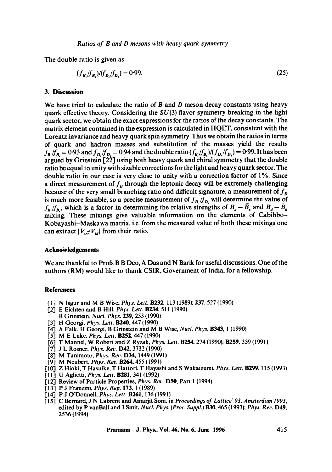The double ratio is given as

$$
(f_{B_i}/f_{B_i})/(f_{D_i}/f_{D_i}) = 0.99.
$$
 (25)

## **3. Discussion**

We have tried to calculate the ratio of  $B$  and  $D$  meson decay constants using heavy quark effective theory. Considering the *SU(3)* flavor symmetry breaking in the light quark sector, we obtain the exact expressions for the ratios of the decay constants. The matrix element contained in the expression is calculated in HQET, consistent with the Lorentz invariance and heavy quark spin symmetry. Thus we obtain the ratios in terms of quark and hadron masses and substitution of the masses yield the results  $f_{B}/f_{B} = 0.93$  and  $f_{D}/f_{D} = 0.94$  and the double ratio  $(f_{B}/f_{B})/(f_{D}/f_{D}) = 0.99$ . It has been argued by Grinstein [22] using both heavy quark and chiral symmetry that the double ratio be equal to unity with sizable corrections for the light and heavy quark sector. The double ratio in our case is very close to unity with a correction factor of 1%. Since a direct measurement of  $f_B$  through the leptonic decay will be extremely challenging because of the very small branching ratio and difficult signature, a measurement of  $f<sub>D</sub>$ is much more feasible, so a precise measurement of  $f_{\mathbf{D}}/f_{\mathbf{D}_r}$  will determine the value of  $f_B/f_B$ , which is a factor in determining the relative strengths of  $B_s - \bar{B}_s$  and  $B_d - \bar{B}_d$ mixing. These mixings give valuable information on the elements of Cabibbo-Kobayashi-Maskawa matrix, i.e. from the measured value of both these mixings one can extract  $|V_{15}/V_{1d}|$  from their ratio.

## **Acknowledgements**

We are thankful to Profs B B Deo, A Das and N Barik for useful discussions. One of the authors (RM) would like to thank CSIR, Government of India, for a fellowship.

# **References**

- [I] N Isgur and M B Wise, *Phys. Lett.* B232, 113 (t989); 237, 527 (1990)
- [-2] E Eichten and B Hill, *Phys. Lett. B234,* 511 (1990)
- B Grinstein, *Nucl. Phys.* **239**, 253 (1990)
- ['3] H Georgi, *Phys. Lett.* B240, 447 (1990)
- 1-4] A Falk, H Georgi, B Grinstein and M B Wise, *Nucl. Phys.* B343, 1 (1990)
- 1"5] M E Luke, *Phys. Lett.* B252, 447 (1990)
- 1-6] T Mannel, W Robert and Z Ryzak, *Phys. Lett.* B254, 274 (1990); B259, 359 {1991)
- 1-7] J L Rosner, *Phys. Rer.* D42, 3732 {1990)
- 1,8] M Tanimoto, *Phys. Ret,.* D34, 1449 (1991)
- [9] M Neubert, *Phys. Rev.* **B264**, 455 (1991)
- 1' 10] Z Hioki, T Hasuike, T Hattori, T Hayashi and S Wakaizumi, *Phys. Lett.* B299, I 15 (1993)
- [11] U Aglietti, *Phys. Lett.* B281, 341 (1992)
- [12] Review of Particle Properties, *Phys. Rev.* **D50**, Part 1 (1994)
- 1,13] P J Franzini, *Phys. Rep.* 173, 1 (1989)
- 1-14] P J O'Donnell, *Phys. Lett.* B261, 136 (199I)
- 1"15] C Bernard, J N Labrent and Amarjit Soni, in *Proceedinys of Lattice" 93. Amsterdam 1993,*  edited by P vanBall and J Smit, *Nucl. Phys. (Proc. Suppl.)* B30, 465 (1993); *Phys. Ret,.* D49, 253611994)

**Pramana - J. Phys., Voi. 46, No. 6, June 1996 415**